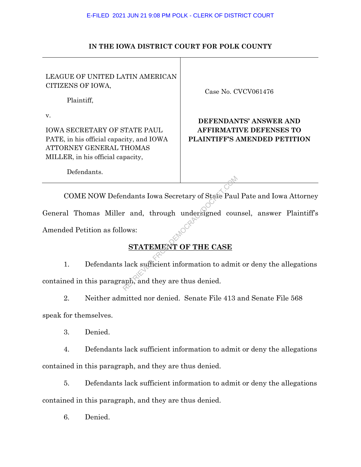## **IN THE IOWA DISTRICT COURT FOR POLK COUNTY**

| LEAGUE OF UNITED LATIN AMERICAN<br>CITIZENS OF IOWA, |  |
|------------------------------------------------------|--|
| Plaintiff,                                           |  |
|                                                      |  |

IOWA SECRETARY OF STATE PAUL PATE, in his official capacity, and IOWA

ATTORNEY GENERAL THOMAS MILLER, in his official capacity,

Case No. CVCV061476

## **DEFENDANTS' ANSWER AND AFFIRMATIVE DEFENSES TO PLAINTIFF'S AMENDED PETITION**

Defendants.

COME NOW Defendants Iowa Secretary of State Paul Pate and Iowa Attorney General Thomas Miller and, through undersigned counsel, answer Plaintiff's Amended Petition as follows: Maants Iowa Secretary of State Paul<br>
r and, through undersigned council<br>
ows:<br>
STATEMENT OF THE CASE<br>
lack sufficient information to admi<br>
aph, and they are thus denied.

# **STATEMENT OF THE CASE**

1. Defendants lack sufficient information to admit or deny the allegations contained in this paragraph, and they are thus denied.

2. Neither admitted nor denied. Senate File 413 and Senate File 568 speak for themselves.

3. Denied.

4. Defendants lack sufficient information to admit or deny the allegations contained in this paragraph, and they are thus denied.

5. Defendants lack sufficient information to admit or deny the allegations contained in this paragraph, and they are thus denied.

6. Denied.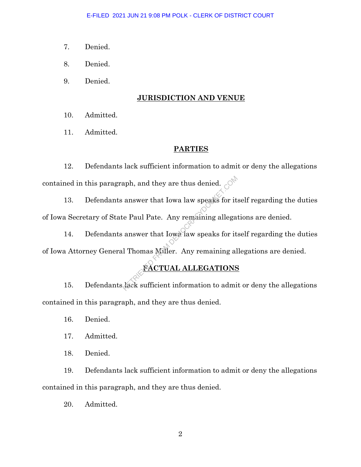- 7. Denied.
- 8. Denied.
- 9. Denied.

## **JURISDICTION AND VENUE**

- 10. Admitted.
- 11. Admitted.

## **PARTIES**

12. Defendants lack sufficient information to admit or deny the allegations

13. Defendants answer that Iowa law speaks for itself regarding the duties of Iowa Secretary of State Paul Pate. Any remaining allegations are denied.

contained in this paragraph, and they are thus denied.<br>
13. Defendants answer that Iowa law speaks for it<br>
of Iowa Secretary of State Paul Pate. Any remaining allega<br>
14. Defendants answer that Iowa law speaks for it<br>
of I 14. Defendants answer that Iowa law speaks for itself regarding the duties of Iowa Attorney General Thomas Miller. Any remaining allegations are denied.

# **FACTUAL ALLEGATIONS**

15. Defendants lack sufficient information to admit or deny the allegations contained in this paragraph, and they are thus denied.

- 16. Denied.
- 17. Admitted.
- 18. Denied.

19. Defendants lack sufficient information to admit or deny the allegations contained in this paragraph, and they are thus denied.

20. Admitted.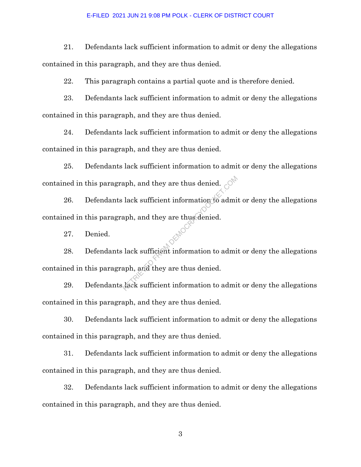21. Defendants lack sufficient information to admit or deny the allegations contained in this paragraph, and they are thus denied.

22. This paragraph contains a partial quote and is therefore denied.

23. Defendants lack sufficient information to admit or deny the allegations contained in this paragraph, and they are thus denied.

24. Defendants lack sufficient information to admit or deny the allegations contained in this paragraph, and they are thus denied.

25. Defendants lack sufficient information to admit or deny the allegations contained in this paragraph, and they are thus denied.

26. Defendants lack sufficient information to admit or deny the allegations contained in this paragraph, and they are thus denied. Republicant and they are thus denied.<br>
Reading the adminstration of a dminimagh, and they are thus denied.<br>
Reading the sufficient information to adminimagh, and they are thus denied.

27. Denied.

28. Defendants lack sufficient information to admit or deny the allegations contained in this paragraph, and they are thus denied.

29. Defendants lack sufficient information to admit or deny the allegations contained in this paragraph, and they are thus denied.

30. Defendants lack sufficient information to admit or deny the allegations contained in this paragraph, and they are thus denied.

31. Defendants lack sufficient information to admit or deny the allegations contained in this paragraph, and they are thus denied.

32. Defendants lack sufficient information to admit or deny the allegations contained in this paragraph, and they are thus denied.

3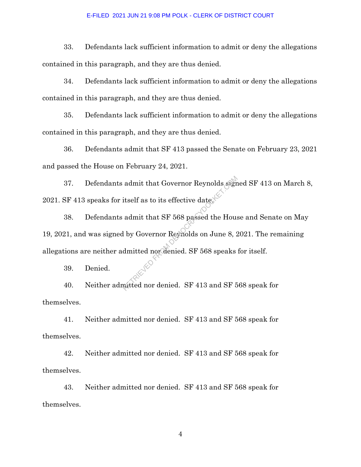33. Defendants lack sufficient information to admit or deny the allegations contained in this paragraph, and they are thus denied.

34. Defendants lack sufficient information to admit or deny the allegations contained in this paragraph, and they are thus denied.

35. Defendants lack sufficient information to admit or deny the allegations contained in this paragraph, and they are thus denied.

36. Defendants admit that SF 413 passed the Senate on February 23, 2021 and passed the House on February 24, 2021.

37. Defendants admit that Governor Reynolds signed SF 413 on March 8, 2021. SF 413 speaks for itself as to its effective date.

38. Defendants admit that SF 568 passed the House and Senate on May 19, 2021, and was signed by Governor Reynolds on June 8, 2021. The remaining allegations are neither admitted nor denied. SF 568 speaks for itself. admit that Governor Reynolds sught<br>itself as to its effective date.<br>admit that SF 568 passed the House<br>l by Governor Reynolds on June 8, 2<br>dmitted nor denied. SF 568 speaks

39. Denied.

40. Neither admitted nor denied. SF 413 and SF 568 speak for themselves.

41. Neither admitted nor denied. SF 413 and SF 568 speak for themselves.

42. Neither admitted nor denied. SF 413 and SF 568 speak for themselves.

43. Neither admitted nor denied. SF 413 and SF 568 speak for themselves.

4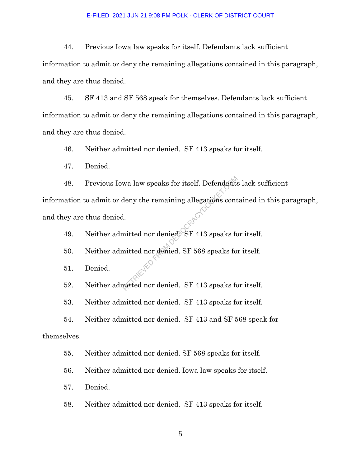44. Previous Iowa law speaks for itself. Defendants lack sufficient information to admit or deny the remaining allegations contained in this paragraph, and they are thus denied.

45. SF 413 and SF 568 speak for themselves. Defendants lack sufficient information to admit or deny the remaining allegations contained in this paragraph, and they are thus denied.

46. Neither admitted nor denied. SF 413 speaks for itself.

47. Denied.

48. Previous Iowa law speaks for itself. Defendants lack sufficient information to admit or deny the remaining allegations contained in this paragraph, and they are thus denied. wa law speaks for itself. Defendants<br>deny the remaining allegations cont<br>l.<br>initted nor denied. SF 568 speaks for<br>mitted nor denied. SF 413 speaks for

49. Neither admitted nor denied. SF 413 speaks for itself.

50. Neither admitted nor denied. SF 568 speaks for itself.

51. Denied.

52. Neither admitted nor denied. SF 413 speaks for itself.

53. Neither admitted nor denied. SF 413 speaks for itself.

54. Neither admitted nor denied. SF 413 and SF 568 speak for themselves.

55. Neither admitted nor denied. SF 568 speaks for itself.

56. Neither admitted nor denied. Iowa law speaks for itself.

57. Denied.

58. Neither admitted nor denied. SF 413 speaks for itself.

5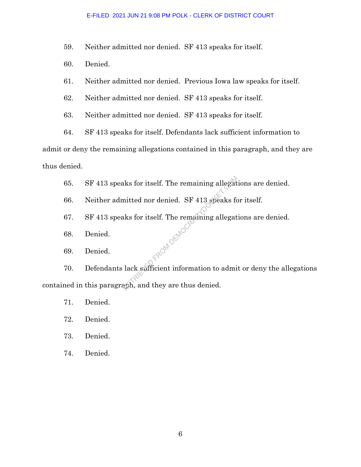59. Neither admitted nor denied. SF 413 speaks for itself.

- 60. Denied.
- 61. Neither admitted nor denied. Previous Iowa law speaks for itself.
- 62. Neither admitted nor denied. SF 413 speaks for itself.
- 63. Neither admitted nor denied. SF 413 speaks for itself.
- 64. SF 413 speaks for itself. Defendants lack sufficient information to

admit or deny the remaining allegations contained in this paragraph, and they are thus denied.

- 65. SF 413 speaks for itself. The remaining allegations are denied.
- 66. Neither admitted nor denied. SF 413 speaks for itself.
- 67. SF 413 speaks for itself. The remaining allegations are denied. FROM DEMOC
- 68. Denied.
- 69. Denied.

70. Defendants lack sufficient information to admit or deny the allegations contained in this paragraph, and they are thus denied.

- 71. Denied.
- 72. Denied.
- 73. Denied.
- 74. Denied.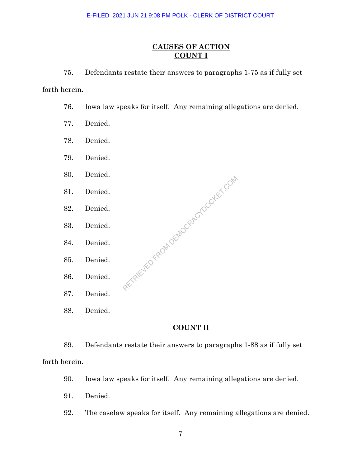## **CAUSES OF ACTION COUNT I**

75. Defendants restate their answers to paragraphs 1-75 as if fully set

forth herein.

76. Iowa law speaks for itself. Any remaining allegations are denied.

RETRIEVED FROM DEMOCRACYDOCKET.COM

- 77. Denied.
- 78. Denied.
- 79. Denied.
- 80. Denied.
- 81. Denied.
- 82. Denied.
- 83. Denied.
- 84. Denied.
- 85. Denied.
- 86. Denied.
- 87. Denied.
- 88. Denied.

## **COUNT II**

89. Defendants restate their answers to paragraphs 1-88 as if fully set forth herein.

- 90. Iowa law speaks for itself. Any remaining allegations are denied.
- 91. Denied.
- 92. The caselaw speaks for itself. Any remaining allegations are denied.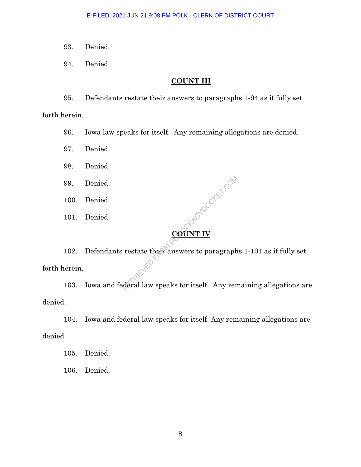93. Denied.

94. Denied.

### **COUNT III**

95. Defendants restate their answers to paragraphs 1-94 as if fully set forth herein.

96. Iowa law speaks for itself. Any remaining allegations are denied.

97. Denied.

98. Denied.

99. Denied.

100. Denied.

101. Denied.

**COUNT IV MOOCKET COM** 

102. Defendants restate their answers to paragraphs 1-101 as if fully set forth herein.

103. Iowa and federal law speaks for itself. Any remaining allegations are denied.

104. Iowa and federal law speaks for itself. Any remaining allegations are denied.

105. Denied.

106. Denied.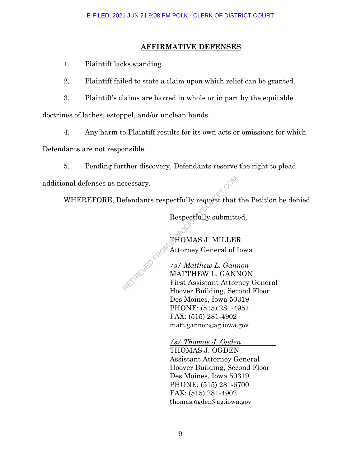## **AFFIRMATIVE DEFENSES**

1. Plaintiff lacks standing.

2. Plaintiff failed to state a claim upon which relief can be granted.

3. Plaintiff's claims are barred in whole or in part by the equitable

doctrines of laches, estoppel, and/or unclean hands.

4. Any harm to Plaintiff results for its own acts or omissions for which

Defendants are not responsible.

5. Pending further discovery, Defendants reserve the right to plead

additional defenses as necessary.

WHEREFORE, Defendants respectfully request that the Petition be denied.

Respectfully submitted,

THOMAS J. MILLER Attorney General of Iowa

*/s/ Matthew L. Gannon* MATTHEW L. GANNON First Assistant Attorney General Hoover Building, Second Floor Des Moines, Iowa 50319 PHONE: (515) 281-4951 FAX: (515) 281-4902 matt.gannon@ag.iowa.gov Expectfully request that<br>Respectfully submitt<br>Respectfully submitt<br>THOMAS J. MILLEI<br>THOMAS J. MILLEI<br>MATTHEW L. Ganimatter<br>First Assistant Attor

> */s/ Thomas J. Ogden* THOMAS J. OGDEN Assistant Attorney General Hoover Building, Second Floor Des Moines, Iowa 50319 PHONE: (515) 281-6700 FAX: (515) 281-4902 thomas.ogden@ag.iowa.gov